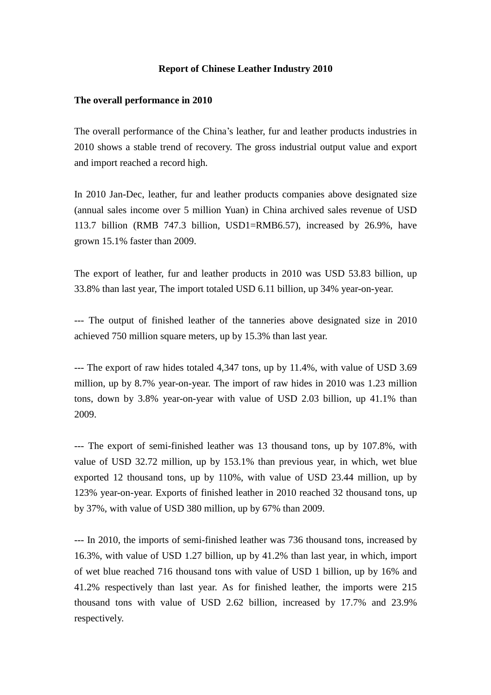## **Report of Chinese Leather Industry 2010**

## **The overall performance in 2010**

The overall performance of the China's leather, fur and leather products industries in 2010 shows a stable trend of recovery. The gross industrial output value and export and import reached a record high.

In 2010 Jan-Dec, leather, fur and leather products companies above designated size (annual sales income over 5 million Yuan) in China archived sales revenue of USD 113.7 billion (RMB 747.3 billion, USD1=RMB6.57), increased by 26.9%, have grown 15.1% faster than 2009.

The export of leather, fur and leather products in 2010 was USD 53.83 billion, up 33.8% than last year, The import totaled USD 6.11 billion, up 34% year-on-year.

--- The output of finished leather of the tanneries above designated size in 2010 achieved 750 million square meters, up by 15.3% than last year.

--- The export of raw hides totaled 4,347 tons, up by 11.4%, with value of USD 3.69 million, up by 8.7% year-on-year. The import of raw hides in 2010 was 1.23 million tons, down by 3.8% year-on-year with value of USD 2.03 billion, up 41.1% than 2009.

--- The export of semi-finished leather was 13 thousand tons, up by 107.8%, with value of USD 32.72 million, up by 153.1% than previous year, in which, wet blue exported 12 thousand tons, up by 110%, with value of USD 23.44 million, up by 123% year-on-year. Exports of finished leather in 2010 reached 32 thousand tons, up by 37%, with value of USD 380 million, up by 67% than 2009.

--- In 2010, the imports of semi-finished leather was 736 thousand tons, increased by 16.3%, with value of USD 1.27 billion, up by 41.2% than last year, in which, import of wet blue reached 716 thousand tons with value of USD 1 billion, up by 16% and 41.2% respectively than last year. As for finished leather, the imports were 215 thousand tons with value of USD 2.62 billion, increased by 17.7% and 23.9% respectively.